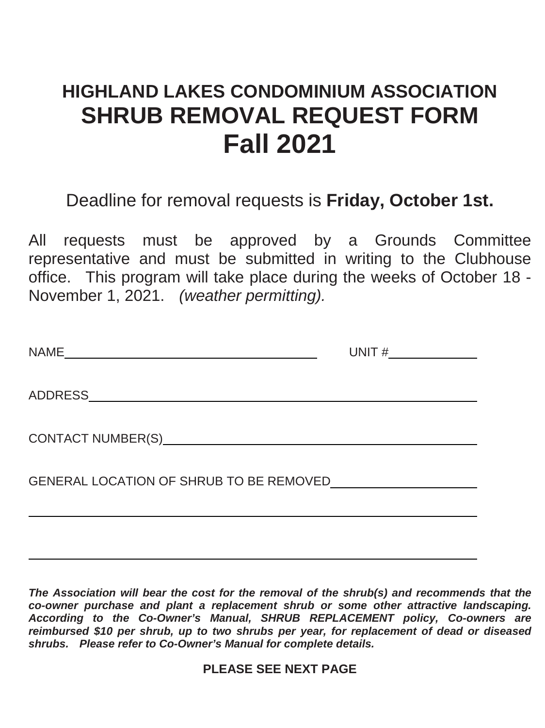## **HIGHLAND LAKES CONDOMINIUM ASSOCIATION SHRUB REMOVAL REQUEST FORM Fall 2021**

Deadline for removal requests is **Friday, October 1st.**

All requests must be approved by a Grounds Committee representative and must be submitted in writing to the Clubhouse office. This program will take place during the weeks of October 18 - November 1, 2021. *(weather permitting).*

| <b>NAME</b>                             | UNIT $\#$ |
|-----------------------------------------|-----------|
|                                         |           |
|                                         |           |
| GENERAL LOCATION OF SHRUB TO BE REMOVED |           |
|                                         |           |

*The Association will bear the cost for the removal of the shrub(s) and recommends that the co-owner purchase and plant a replacement shrub or some other attractive landscaping. According to the Co-Owner's Manual, SHRUB REPLACEMENT policy, Co-owners are reimbursed \$10 per shrub, up to two shrubs per year, for replacement of dead or diseased shrubs. Please refer to Co-Owner's Manual for complete details.*

**PLEASE SEE NEXT PAGE**